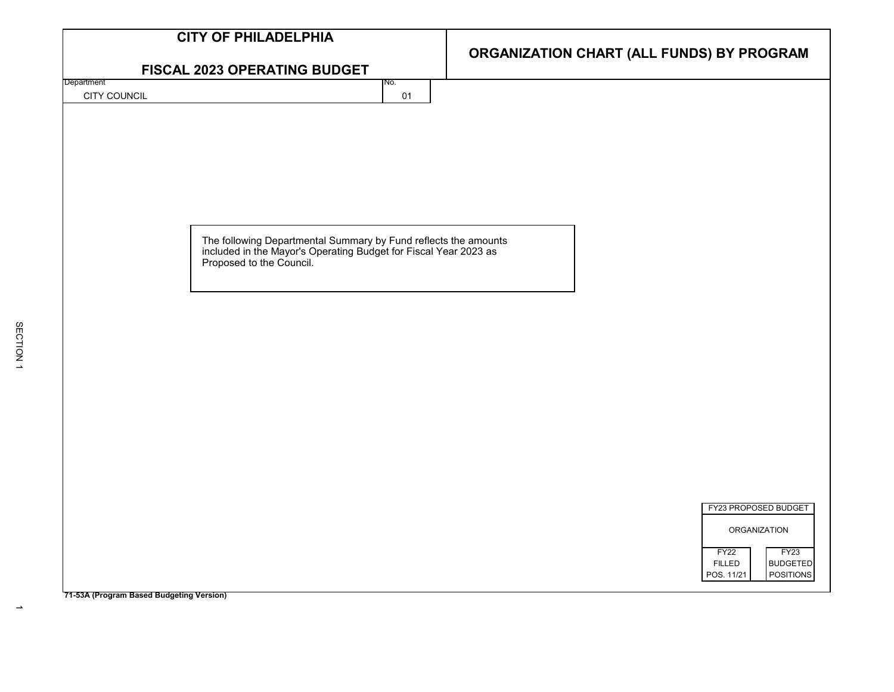| <b>CITY OF PHILADELPHIA</b>                                                                                                                               |                                                             |  |  |  |
|-----------------------------------------------------------------------------------------------------------------------------------------------------------|-------------------------------------------------------------|--|--|--|
|                                                                                                                                                           | ORGANIZATION CHART (ALL FUNDS) BY PROGRAM                   |  |  |  |
| FISCAL 2023 OPERATING BUDGET                                                                                                                              |                                                             |  |  |  |
| Department<br>No.                                                                                                                                         |                                                             |  |  |  |
| CITY COUNCIL<br>01                                                                                                                                        |                                                             |  |  |  |
|                                                                                                                                                           |                                                             |  |  |  |
|                                                                                                                                                           |                                                             |  |  |  |
|                                                                                                                                                           |                                                             |  |  |  |
|                                                                                                                                                           |                                                             |  |  |  |
|                                                                                                                                                           |                                                             |  |  |  |
|                                                                                                                                                           |                                                             |  |  |  |
|                                                                                                                                                           |                                                             |  |  |  |
|                                                                                                                                                           |                                                             |  |  |  |
| The following Departmental Summary by Fund reflects the amounts included in the Mayor's Operating Budget for Fiscal Year 2023 as Proposed to the Council. |                                                             |  |  |  |
|                                                                                                                                                           |                                                             |  |  |  |
|                                                                                                                                                           |                                                             |  |  |  |
|                                                                                                                                                           |                                                             |  |  |  |
|                                                                                                                                                           |                                                             |  |  |  |
|                                                                                                                                                           |                                                             |  |  |  |
|                                                                                                                                                           |                                                             |  |  |  |
|                                                                                                                                                           |                                                             |  |  |  |
|                                                                                                                                                           |                                                             |  |  |  |
|                                                                                                                                                           |                                                             |  |  |  |
|                                                                                                                                                           |                                                             |  |  |  |
|                                                                                                                                                           |                                                             |  |  |  |
|                                                                                                                                                           |                                                             |  |  |  |
|                                                                                                                                                           |                                                             |  |  |  |
|                                                                                                                                                           |                                                             |  |  |  |
|                                                                                                                                                           |                                                             |  |  |  |
|                                                                                                                                                           | FY23 PROPOSED BUDGET                                        |  |  |  |
|                                                                                                                                                           |                                                             |  |  |  |
|                                                                                                                                                           | <b>ORGANIZATION</b>                                         |  |  |  |
|                                                                                                                                                           | FY23<br>FY <sub>22</sub>                                    |  |  |  |
|                                                                                                                                                           | <b>BUDGETED</b><br><b>FILLED</b><br>POSITIONS<br>POS. 11/21 |  |  |  |
|                                                                                                                                                           |                                                             |  |  |  |
| 71-53A (Program Based Budgeting Version)                                                                                                                  |                                                             |  |  |  |

 $\rightarrow$